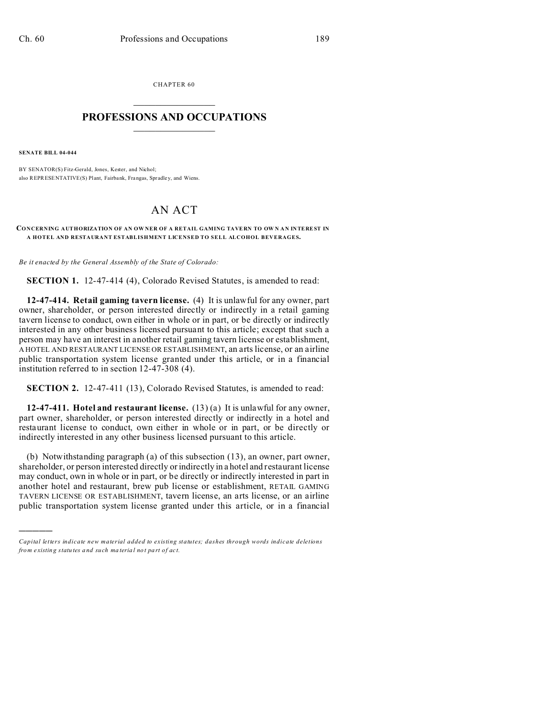CHAPTER 60  $\overline{\phantom{a}}$  , where  $\overline{\phantom{a}}$ 

## **PROFESSIONS AND OCCUPATIONS**  $\frac{1}{2}$  ,  $\frac{1}{2}$  ,  $\frac{1}{2}$  ,  $\frac{1}{2}$  ,  $\frac{1}{2}$  ,  $\frac{1}{2}$

**SENATE BILL 04-044**

)))))

BY SENATOR(S) Fitz-Gerald, Jones, Kester, and Nichol; also REPRESENTATIVE(S) Plant, Fairbank, Frangas, Spradley, and Wiens.

## AN ACT

## **CONCERNING AUTHORIZATION OF AN OWNER OF A RETAIL GAMING TAVERN TO OWN AN INTEREST IN A HOTEL AND RESTAURANT ESTABLISHMENT LICENSED TO SELL ALCOHOL BEVERAGES.**

*Be it enacted by the General Assembly of the State of Colorado:*

**SECTION 1.** 12-47-414 (4), Colorado Revised Statutes, is amended to read:

**12-47-414. Retail gaming tavern license.** (4) It is unlawful for any owner, part owner, shareholder, or person interested directly or indirectly in a retail gaming tavern license to conduct, own either in whole or in part, or be directly or indirectly interested in any other business licensed pursuant to this article; except that such a person may have an interest in another retail gaming tavern license or establishment, A HOTEL AND RESTAURANT LICENSE OR ESTABLISHMENT, an arts license, or an airline public transportation system license granted under this article, or in a financial institution referred to in section 12-47-308 (4).

**SECTION 2.** 12-47-411 (13), Colorado Revised Statutes, is amended to read:

**12-47-411. Hotel and restaurant license.** (13) (a) It is unlawful for any owner, part owner, shareholder, or person interested directly or indirectly in a hotel and restaurant license to conduct, own either in whole or in part, or be directly or indirectly interested in any other business licensed pursuant to this article.

(b) Notwithstanding paragraph (a) of this subsection (13), an owner, part owner, shareholder, or person interested directly or indirectly in a hotel and restaurant license may conduct, own in whole or in part, or be directly or indirectly interested in part in another hotel and restaurant, brew pub license or establishment, RETAIL GAMING TAVERN LICENSE OR ESTABLISHMENT, tavern license, an arts license, or an airline public transportation system license granted under this article, or in a financial

*Capital letters indicate new material added to existing statutes; dashes through words indicate deletions from e xistin g statu tes a nd such ma teria l no t pa rt of ac t.*